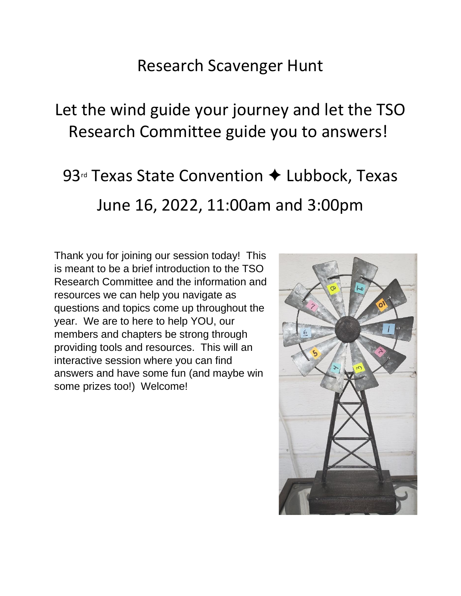## Research Scavenger Hunt

## Let the wind guide your journey and let the TSO Research Committee guide you to answers!

# 93<sup>rd</sup> Texas State Convention ◆ Lubbock, Texas June 16, 2022, 11:00am and 3:00pm

Thank you for joining our session today! This is meant to be a brief introduction to the TSO Research Committee and the information and resources we can help you navigate as questions and topics come up throughout the year. We are to here to help YOU, our members and chapters be strong through providing tools and resources. This will an interactive session where you can find answers and have some fun (and maybe win some prizes too!) Welcome!

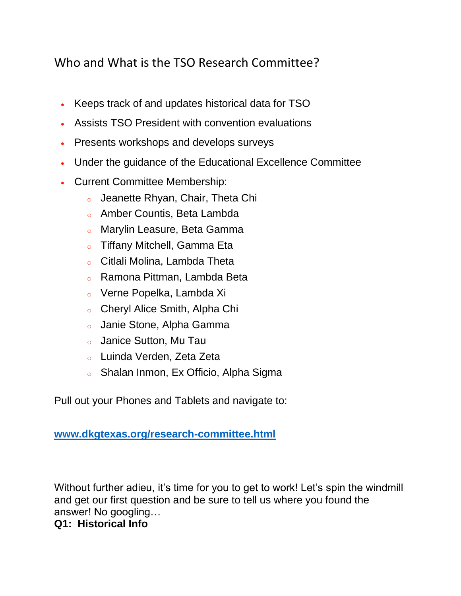### Who and What is the TSO Research Committee?

- Keeps track of and updates historical data for TSO
- Assists TSO President with convention evaluations
- Presents workshops and develops surveys
- Under the guidance of the Educational Excellence Committee
- Current Committee Membership:
	- o Jeanette Rhyan, Chair, Theta Chi
	- o Amber Countis, Beta Lambda
	- o Marylin Leasure, Beta Gamma
	- o Tiffany Mitchell, Gamma Eta
	- o Citlali Molina, Lambda Theta
	- o Ramona Pittman, Lambda Beta
	- o Verne Popelka, Lambda Xi
	- o Cheryl Alice Smith, Alpha Chi
	- o Janie Stone, Alpha Gamma
	- o Janice Sutton, Mu Tau
	- o Luinda Verden, Zeta Zeta
	- o Shalan Inmon, Ex Officio, Alpha Sigma

Pull out your Phones and Tablets and navigate to:

#### **[www.dkgtexas.org/research-committee.html](http://www.dkgtexas.org/research-committee.html)**

Without further adieu, it's time for you to get to work! Let's spin the windmill and get our first question and be sure to tell us where you found the answer! No googling…

#### **Q1: Historical Info**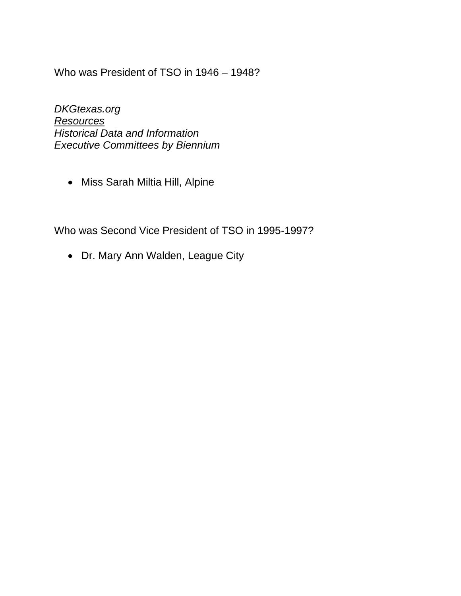Who was President of TSO in 1946 – 1948?

*DKGtexas.org Resources Historical Data and Information Executive Committees by Biennium*

• Miss Sarah Miltia Hill, Alpine

Who was Second Vice President of TSO in 1995-1997?

• Dr. Mary Ann Walden, League City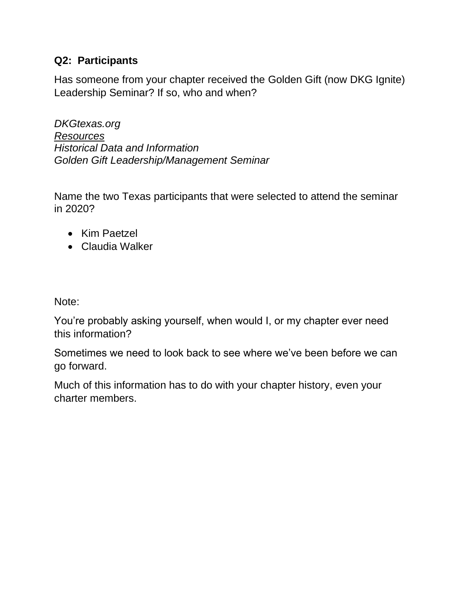#### **Q2: Participants**

Has someone from your chapter received the Golden Gift (now DKG Ignite) Leadership Seminar? If so, who and when?

*DKGtexas.org Resources Historical Data and Information Golden Gift Leadership/Management Seminar*

Name the two Texas participants that were selected to attend the seminar in 2020?

- Kim Paetzel
- Claudia Walker

Note:

You're probably asking yourself, when would I, or my chapter ever need this information?

Sometimes we need to look back to see where we've been before we can go forward.

Much of this information has to do with your chapter history, even your charter members.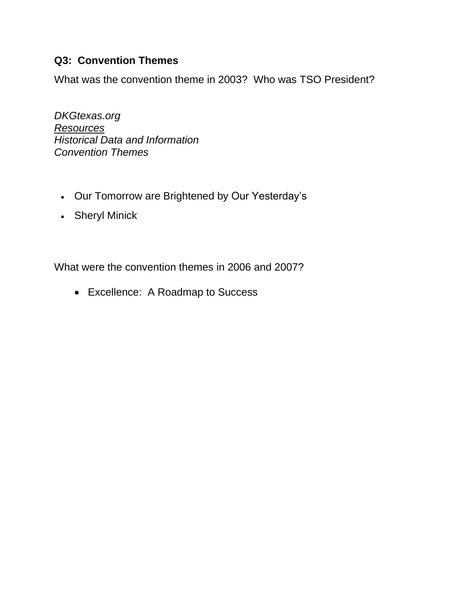#### **Q3: Convention Themes**

What was the convention theme in 2003? Who was TSO President?

*DKGtexas.org Resources Historical Data and Information Convention Themes*

- Our Tomorrow are Brightened by Our Yesterday's
- Sheryl Minick

What were the convention themes in 2006 and 2007?

• Excellence: A Roadmap to Success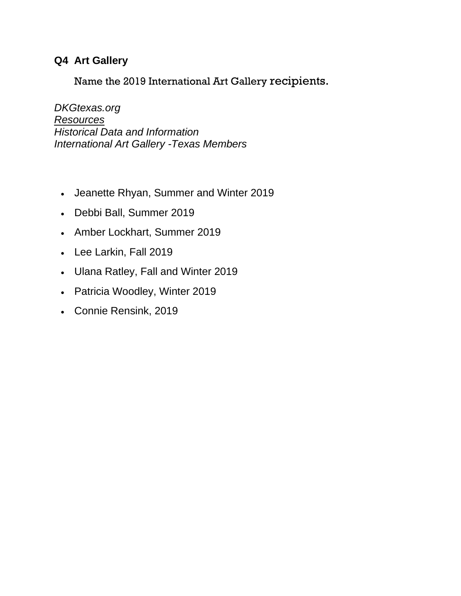#### **Q4 Art Gallery**

Name the 2019 International Art Gallery recipients.

*DKGtexas.org Resources Historical Data and Information International Art Gallery -Texas Members*

- Jeanette Rhyan, Summer and Winter 2019
- Debbi Ball, Summer 2019
- Amber Lockhart, Summer 2019
- Lee Larkin, Fall 2019
- Ulana Ratley, Fall and Winter 2019
- Patricia Woodley, Winter 2019
- Connie Rensink, 2019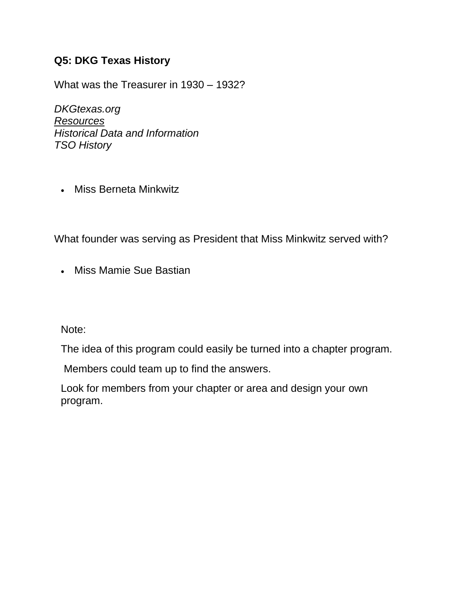#### **Q5: DKG Texas History**

What was the Treasurer in 1930 – 1932?

*DKGtexas.org Resources Historical Data and Information TSO History*

• Miss Berneta Minkwitz

What founder was serving as President that Miss Minkwitz served with?

• Miss Mamie Sue Bastian

Note:

The idea of this program could easily be turned into a chapter program.

Members could team up to find the answers.

Look for members from your chapter or area and design your own program.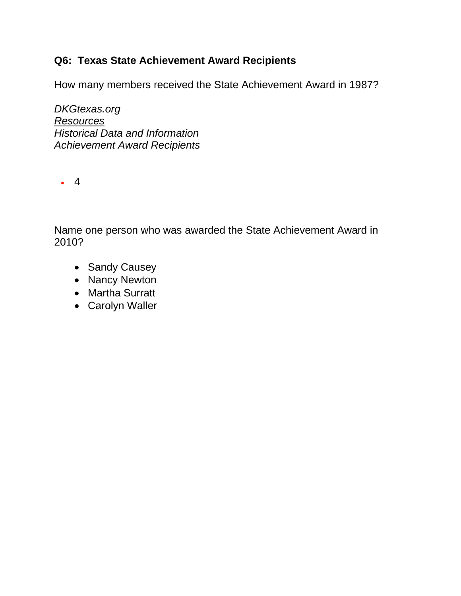#### **Q6: Texas State Achievement Award Recipients**

How many members received the State Achievement Award in 1987?

*DKGtexas.org Resources Historical Data and Information Achievement Award Recipients*

• 4

Name one person who was awarded the State Achievement Award in 2010?

- Sandy Causey
- Nancy Newton
- Martha Surratt
- Carolyn Waller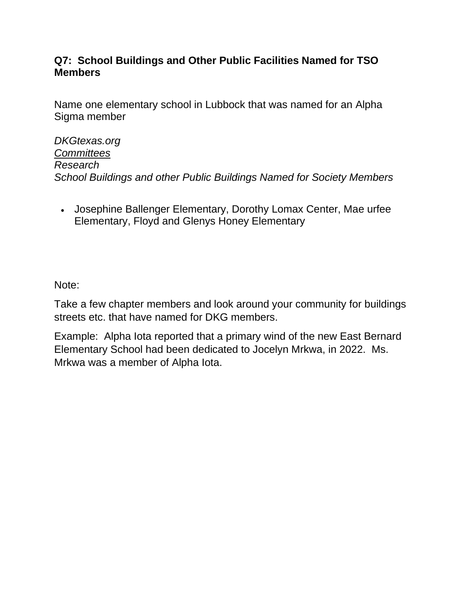#### **Q7: School Buildings and Other Public Facilities Named for TSO Members**

Name one elementary school in Lubbock that was named for an Alpha Sigma member

*DKGtexas.org Committees Research School Buildings and other Public Buildings Named for Society Members*

• Josephine Ballenger Elementary, Dorothy Lomax Center, Mae urfee Elementary, Floyd and Glenys Honey Elementary

Note:

Take a few chapter members and look around your community for buildings streets etc. that have named for DKG members.

Example: Alpha Iota reported that a primary wind of the new East Bernard Elementary School had been dedicated to Jocelyn Mrkwa, in 2022. Ms. Mrkwa was a member of Alpha Iota.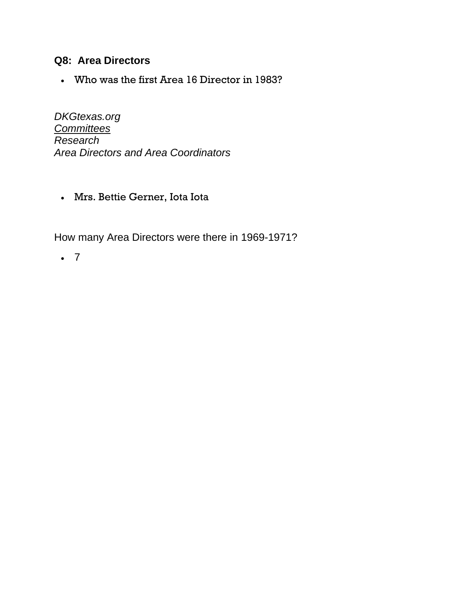#### **Q8: Area Directors**

• Who was the first Area 16 Director in 1983?

*DKGtexas.org Committees Research Area Directors and Area Coordinators*

• Mrs. Bettie Gerner, Iota Iota

How many Area Directors were there in 1969-1971?

• 7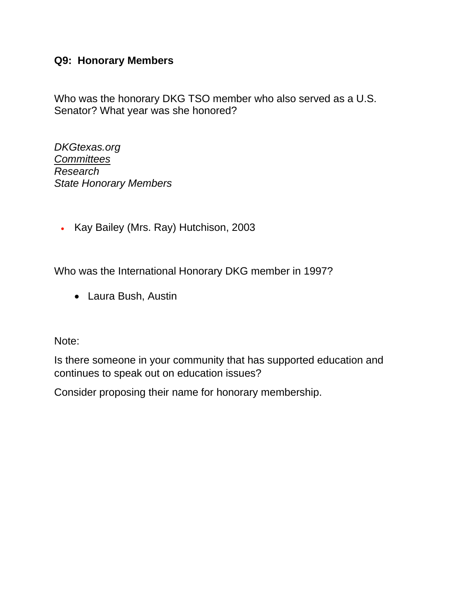#### **Q9: Honorary Members**

Who was the honorary DKG TSO member who also served as a U.S. Senator? What year was she honored?

*DKGtexas.org Committees Research State Honorary Members*

• Kay Bailey (Mrs. Ray) Hutchison, 2003

Who was the International Honorary DKG member in 1997?

• Laura Bush, Austin

Note:

Is there someone in your community that has supported education and continues to speak out on education issues?

Consider proposing their name for honorary membership.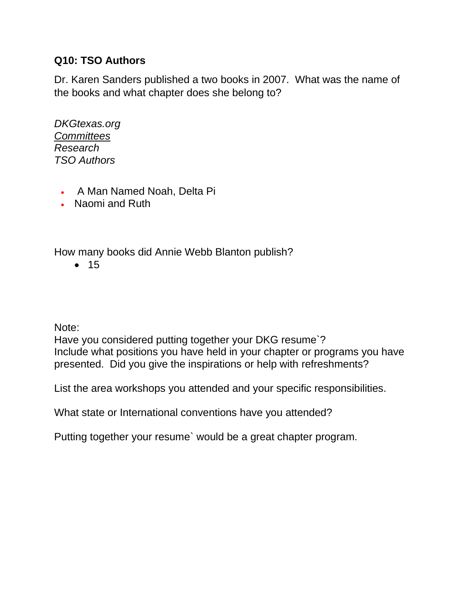#### **Q10: TSO Authors**

Dr. Karen Sanders published a two books in 2007. What was the name of the books and what chapter does she belong to?

*DKGtexas.org Committees Research TSO Authors*

- A Man Named Noah, Delta Pi
- Naomi and Ruth

How many books did Annie Webb Blanton publish?

• 15

Note:

Have you considered putting together your DKG resume`? Include what positions you have held in your chapter or programs you have presented. Did you give the inspirations or help with refreshments?

List the area workshops you attended and your specific responsibilities.

What state or International conventions have you attended?

Putting together your resume` would be a great chapter program.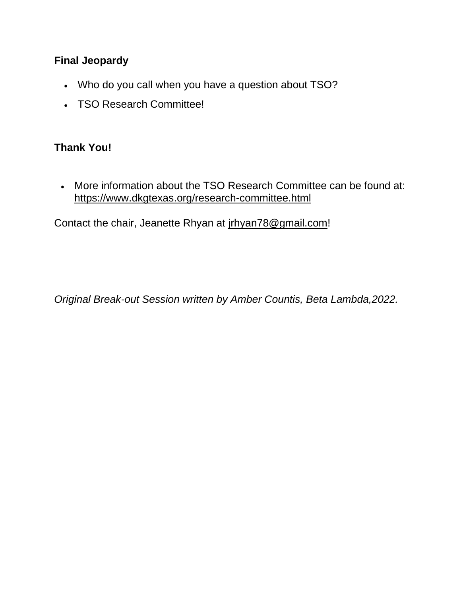#### **Final Jeopardy**

- Who do you call when you have a question about TSO?
- TSO Research Committee!

#### **Thank You!**

• More information about the TSO Research Committee can be found at: <https://www.dkgtexas.org/research-committee.html>

Contact the chair, Jeanette Rhyan at [jrhyan78@gmail.com!](mailto:jrhyan78@gmail.com)

*Original Break-out Session written by Amber Countis, Beta Lambda,2022.*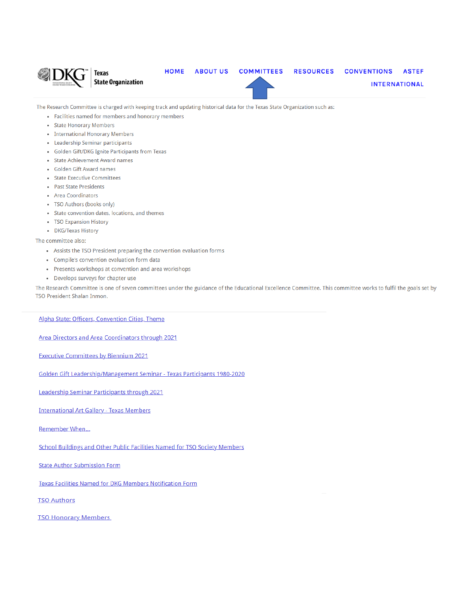

The Research Committee is charged with keeping track and updating historical data for the Texas State Organization such as:

- Facilities named for members and honorary members
- State Honorary Members
- International Honorary Members
- Leadership Seminar participants
- Golden Gift/DKG Ignite Participants from Texas
- State Achievement Award names
- Golden Gift Award names
- State Executive Committees
- Past State Presidents
- Area Coordinators
- TSO Authors (books only)
- State convention dates, locations, and themes
- TSO Expansion History
- DKG/Texas History

The committee also:

- Assists the TSO President preparing the convention evaluation forms
- Compile's convention evaluation form data
- Presents workshops at convention and area workshops
- Develops surveys for chapter use

The Research Committee is one of seven committees under the guidance of the Educational Excellence Committee. This committee works to fulfil the goals set by TSO President Shalan Inmon.

Alpha State: Officers, Convention Cities, Theme

Area Directors and Area Coordinators through 2021

**Executive Committees by Biennium 2021** 

Golden Gift Leadership/Management Seminar - Texas Participants 1980-2020

Leadership Seminar Participants through 2021

**International Art Gallery - Texas Members** 

Remember When...

**School Buildings and Other Public Facilities Named for TSO Society Members** 

**State Author Submission Form** 

**Texas Facilities Named for DKG Members Notification Form** 

**TSO Authors** 

**TSO Honorary Members**